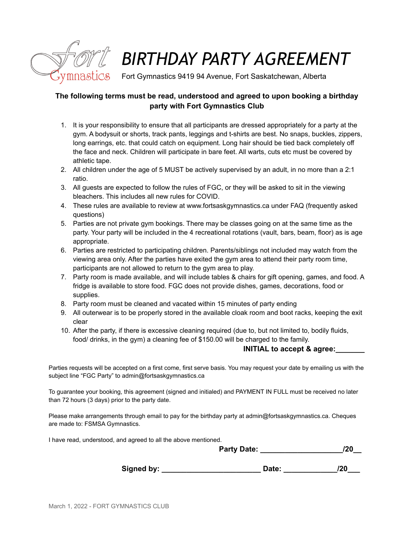

# *BIRTHDAY PARTY AGREEMENT*

Fort Gymnastics 9419 94 Avenue, Fort Saskatchewan, Alberta

## **The following terms must be read, understood and agreed to upon booking a birthday party with Fort Gymnastics Club**

- 1. It is your responsibility to ensure that all participants are dressed appropriately for a party at the gym. A bodysuit or shorts, track pants, leggings and t-shirts are best. No snaps, buckles, zippers, long earrings, etc. that could catch on equipment. Long hair should be tied back completely off the face and neck. Children will participate in bare feet. All warts, cuts etc must be covered by athletic tape.
- 2. All children under the age of 5 MUST be actively supervised by an adult, in no more than a 2:1 ratio.
- 3. All guests are expected to follow the rules of FGC, or they will be asked to sit in the viewing bleachers. This includes all new rules for COVID.
- 4. These rules are available to review at www.fortsaskgymnastics.ca under FAQ (frequently asked questions)
- 5. Parties are not private gym bookings. There may be classes going on at the same time as the party. Your party will be included in the 4 recreational rotations (vault, bars, beam, floor) as is age appropriate.
- 6. Parties are restricted to participating children. Parents/siblings not included may watch from the viewing area only. After the parties have exited the gym area to attend their party room time, participants are not allowed to return to the gym area to play.
- 7. Party room is made available, and will include tables & chairs for gift opening, games, and food. A fridge is available to store food. FGC does not provide dishes, games, decorations, food or supplies.
- 8. Party room must be cleaned and vacated within 15 minutes of party ending
- 9. All outerwear is to be properly stored in the available cloak room and boot racks, keeping the exit clear
- 10. After the party, if there is excessive cleaning required (due to, but not limited to, bodily fluids, food/ drinks, in the gym) a cleaning fee of \$150.00 will be charged to the family.

#### **INITIAL** to accept & agree:

Parties requests will be accepted on a first come, first serve basis. You may request your date by emailing us with the subject line "FGC Party" to admin@fortsaskgymnastics.ca

To guarantee your booking, this agreement (signed and initialed) and PAYMENT IN FULL must be received no later than 72 hours (3 days) prior to the party date.

Please make arrangements through email to pay for the birthday party at admin@fortsaskgymnastics.ca. Cheques are made to: FSMSA Gymnastics.

I have read, understood, and agreed to all the above mentioned.

**Party Date: \_\_\_\_\_\_\_\_\_\_\_\_\_\_\_\_\_\_\_\_/20\_\_**

**Signed by: \_\_\_\_\_\_\_\_\_\_\_\_\_\_\_\_\_\_\_\_\_\_\_\_ Date: \_\_\_\_\_\_\_\_\_\_\_\_\_/20\_\_\_**